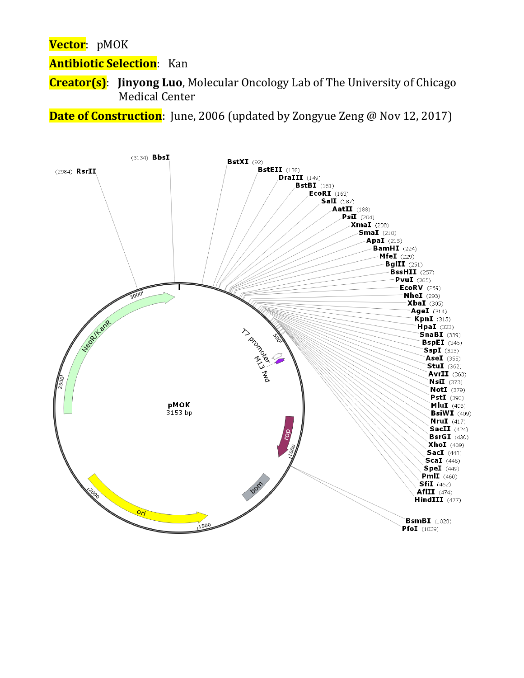**Vector**: pMOK

**Antibiotic Selection**: Kan

**Creator(s)**: **Jinyong Luo**, Molecular Oncology Lab of The University of Chicago Medical Center

**Date of Construction**: June, 2006 (updated by Zongyue Zeng @ Nov 12, 2017)

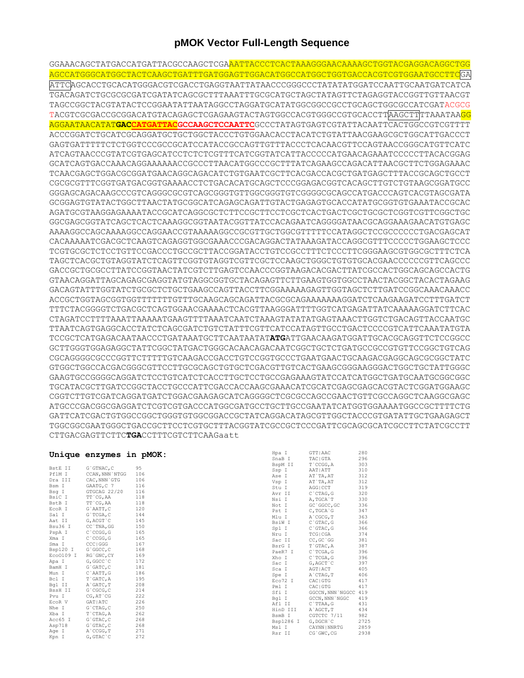## **pMOK Vector Full-Length Sequence**

GGAAACAGCTATGACCATGATTACGCCAAGCTCGAAATTACCCTCACTAAAGGGAACAAAAGCTGGTACGAGGACAGGCTGG AGCCATGGGCATGGCTACTCAAGCTGATTTGATGGAGTTGGACATGGCCATGGCTGGTGACCACGTCGTGGAATGCCTTCGA ATTCAGCACCTGCACATGGGACGTCGACCTGAGGTAATTATAACCCGGGCCCTATATATGGATCCAATTGCAATGATCATCA TGACAGATCTGCGCGCGATCGATATCAGCGCTTTAAATTTGCGCATGCTAGCTATAGTTCTAGAGGTACCGGTTGTTAACGT TAGCCGGCTACGTATACTCCGGAATATTAATAGGCCTAGGATGCATATGGCGGCCGCCTGCAGCTGGCGCCATCGATACGCG TACGTCGCGACCGCGGACATGTACAGAGCTCGAGAAGTACTAGTGGCCACGTGGGCCGTGCACCTTAAGCTTTTAAATAAGG AGGAATAACATAT**GACCATGATTACGCCAAGCTCCAATTC**GCCCTATAGTGAGTCGTATTACAATTCACTGGCCGTCGTTTT ACCCGGATCTGCATCGCAGGATGCTGCTGGCTACCCTGTGGAACACCTACATCTGTATTAACGAAGCGCTGGCATTGACCCT GAGTGATTTTTCTCTGGTCCCGCCGCATCCATACCGCCAGTTGTTTACCCTCACAACGTTCCAGTAACCGGGCATGTTCATC ATCAGTAACCCGTATCGTGAGCATCCTCTCTCGTTTCATCGGTATCATTACCCCCATGAACAGAAATCCCCCTTACACGGAG GCATCAGTGACCAAACAGGAAAAAACCGCCCTTAACATGGCCCGCTTTATCAGAAGCCAGACATTAACGCTTCTGGAGAAAC TCAACGAGCTGGACGCGGATGAACAGGCAGACATCTGTGAATCGCTTCACGACCACGCTGATGAGCTTTACCGCAGCTGCCT CGCGCGTTTCGGTGATGACGGTGAAAACCTCTGACACATGCAGCTCCCGGAGACGGTCACAGCTTGTCTGTAAGCGGATGCC GGGAGCAGACAAGCCCGTCAGGGCGCGTCAGCGGGTGTTGGCGGGTGTCGGGGCGCAGCCATGACCCAGTCACGTAGCGATA GCGGAGTGTATACTGGCTTAACTATGCGGCATCAGAGCAGATTGTACTGAGAGTGCACCATATGCGGTGTGAAATACCGCAC AGATGCGTAAGGAGAAAATACCGCATCAGGCGCTCTTCCGCTTCCTCGCTCACTGACTCGCTGCGCTCGGTCGTTCGGCTGC GGCGAGCGGTATCAGCTCACTCAAAGGCGGTAATACGGTTATCCACAGAATCAGGGGATAACGCAGGAAAGAACATGTGAGC AAAAGGCCAGCAAAAGGCCAGGAACCGTAAAAAGGCCGCGTTGCTGGCGTTTTTCCATAGGCTCCGCCCCCCTGACGAGCAT CACAAAAATCGACGCTCAAGTCAGAGGTGGCGAAACCCGACAGGACTATAAAGATACCAGGCGTTTCCCCCTGGAAGCTCCC TCGTGCGCTCTCCTGTTCCGACCCTGCCGCTTACCGGATACCTGTCCGCCTTTCTCCCTTCGGGAAGCGTGGCGCTTTCTCA TAGCTCACGCTGTAGGTATCTCAGTTCGGTGTAGGTCGTTCGCTCCAAGCTGGGCTGTGTGCACGAACCCCCCGTTCAGCCC GACCGCTGCGCCTTATCCGGTAACTATCGTCTTGAGTCCAACCCGGTAAGACACGACTTATCGCCACTGGCAGCAGCCACTG GTAACAGGATTAGCAGAGCGAGGTATGTAGGCGGTGCTACAGAGTTCTTGAAGTGGTGGCCTAACTACGGCTACACTAGAAG GACAGTATTTGGTATCTGCGCTCTGCTGAAGCCAGTTACCTTCGGAAAAAGAGTTGGTAGCTCTTGATCCGGCAAACAAACC ACCGCTGGTAGCGGTGGTTTTTTTGTTTGCAAGCAGCAGATTACGCGCAGAAAAAAAGGATCTCAAGAAGATCCTTTGATCT TTTCTACGGGGTCTGACGCTCAGTGGAACGAAAACTCACGTTAAGGGATTTTGGTCATGAGATTATCAAAAAGGATCTTCAC CTAGATCCTTTTAAATTAAAAATGAAGTTTTAAATCAATCTAAAGTATATATGAGTAAACTTGGTCTGACAGTTACCAATGC TTAATCAGTGAGGCACCTATCTCAGCGATCTGTCTATTTCGTTCATCCATAGTTGCCTGACTCCCCGTCATTCAAATATGTA TCCGCTCATGAGACAATAACCCTGATAAATGCTTCAATAATAT**ATG**ATTGAACAAGATGGATTGCACGCAGGTTCTCCGGCC GCTTGGGTGGAGAGGCTATTCGGCTATGACTGGGCACAACAGACAATCGGCTGCTCTGATGCCGCCGTGTTCCGGCTGTCAG CGCAGGGGCGCCCGGTTCTTTTTGTCAAGACCGACCTGTCCGGTGCCCTGAATGAACTGCAAGACGAGGCAGCGCGGCTATC GTGGCTGGCCACGACGGGCGTTCCTTGCGCAGCTGTGCTCGACGTTGTCACTGAAGCGGGAAGGGACTGGCTGCTATTGGGC GAAGTGCCGGGGCAGGATCTCCTGTCATCTCACCTTGCTCCTGCCGAGAAAGTATCCATCATGGCTGATGCAATGCGGCGGC TGCATACGCTTGATCCGGCTACCTGCCCATTCGACCACCAAGCGAAACATCGCATCGAGCGAGCACGTACTCGGATGGAAGC CGGTCTTGTCGATCAGGATGATCTGGACGAAGAGCATCAGGGGCTCGCGCCAGCCGAACTGTTCGCCAGGCTCAAGGCGAGC ATGCCCGACGGCGAGGATCTCGTCGTGACCCATGGCGATGCCTGCTTGCCGAATATCATGGTGGAAAATGGCCGCTTTTCTG GATTCATCGACTGTGGCCGGCTGGGTGTGGCGGACCGCTATCAGGACATAGCGTTGGCTACCCGTGATATTGCTGAAGAGCT TGGCGGCGAATGGGCTGACCGCTTCCTCGTGCTTTACGGTATCGCCGCTCCCGATTCGCAGCGCATCGCCTTCTATCGCCTT CTTGACGAGTTCTTC**TGA**CCTTTCGTCTTCAAGaatt

|           | Unique enzymes in pMOK: |     | Hpa I     | GTT   AAC            | 280  |
|-----------|-------------------------|-----|-----------|----------------------|------|
|           |                         |     | SnaB I    | TAC   GTA            | 296  |
| BstE II   | G`GTNAC, C              | 95  | BspM II   | T`CCGG, A            | 303  |
| PflM I    | CCAN, NNN `NTGG         | 106 | Ssp I     | AAT   ATT            | 310  |
| Dra III   | CAC, NNN GTG            | 106 | Ase I     | AT`TA, AT            | 312  |
| Bsm I     |                         |     | Vsp I     | AT`TA, AT            | 312  |
|           | GAATG, C 7              | 116 | Stu I     | AGG   CCT            | 319  |
| Bsq I     | GTGCAG 22/20            | 116 | Avr II    | $C$ $CTAG$ , $G$     | 320  |
| BsiC I    | TT CG, AA               | 118 | Nsi I     | A, TGCA`T            | 330  |
| BstB I    | TT CG, AA               | 118 | Not I     | GC `GGCC, GC         | 336  |
| ECOR I    | G`AATT, C               | 120 | Pst I     | C, TGCA G            | 347  |
| Sal I     | G`TCGA, C               | 144 | Mlu I     | A`CGCG, T            | 363  |
| Aat II    | G, ACGT `C              | 145 | BsiW I    | C`GTAC, G            | 366  |
| Bsu36 I   | CC`TNA, GG              | 150 | Spl I     | $C$ $GTAC$ , $G$     | 366  |
| PspA I    | C CCGG, G               | 165 | Nru I     | TCG   CGA            | 374  |
| Xma I     | C CCGG, G               | 165 | Sac II    | CC, GC 'GG           | 381  |
| Sma I     | CCC   GGG               | 167 | BsrG I    | T`GTAC.A             | 387  |
| Bsp120 I  | G`GGCC, C               | 168 | PaeR7 I   | C`TCGA, G            | 396  |
| Eco0109 I | RG GNC, CY              | 169 | Xho I     | C`TCGA, G            | 396  |
| Apa I     | G, GGCC `C              | 172 | Sac I     | G, AGCT `C           | 397  |
| BamH I    | G`GATC, C               | 181 | Sca I     | AGT   ACT            | 405  |
| Mun I     | C`AATT, G               | 186 | Spe I     | A`CTAG, T            | 406  |
| Bcl I     | T`GATC, A               | 195 | Eco72 I   | CAC   GTG            | 417  |
| Bgl II    | A`GATC, T               | 208 | Pml I     | CAC   GTG            | 417  |
| BssH II   | G`CGCG, C               | 214 | Sfi I     | GGCCN, NNN NGGCC 419 |      |
| Pvu I     | CG, AT `CG              | 222 | Bgl I     | GCCN, NNN `NGGC      | 419  |
| EcoR V    | GAT ATC                 | 226 | Afl II    | C`TTAA, G            | 431  |
| Nhe I     | G`CTAG, C               | 250 | HinD III  | A`AGCT, T            | 434  |
| Xba I     | T`CTAG, A               | 262 | BsmB I    | CGTCTC 7/11          | 982  |
| Acc65 I   | $G$ $GTAC$ , $C$        | 268 | Bsp1286 I | G, DGCH C            | 2725 |
| Asp718    | G`GTAC, C               | 268 | Msl I     | CAYNN   NNRTG        | 2859 |
| Age I     | A CCGG, T               | 271 | Rsr II    | CG`GWC, CG           | 2938 |
|           |                         |     |           |                      |      |

Kpn I G, GTAC`C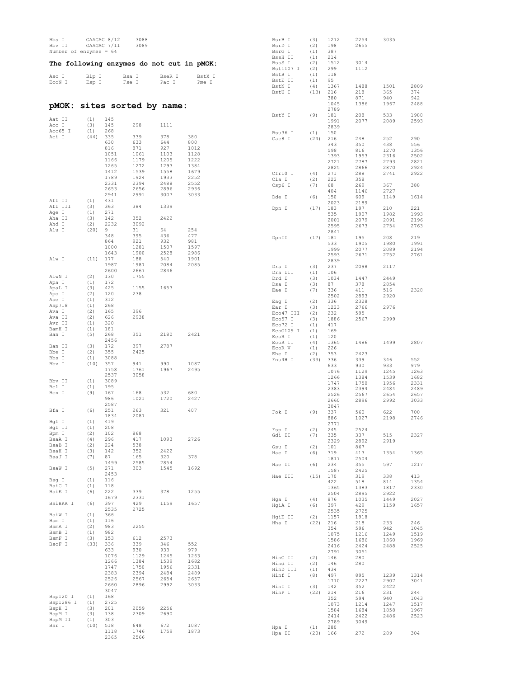| Bbs I<br>Bbv II<br>Number of enzymes = $64$ |            | GAAGAC 8/12<br>GAAGAC 7/11 | 3088<br>3089                              |              |              | BsrB I<br>BsrD I<br>BsrG I<br>BssH II | (3)<br>(2)<br>(1)<br>(1) | 1272<br>198<br>387<br>214 | 2254<br>2655 | 3035         |              |
|---------------------------------------------|------------|----------------------------|-------------------------------------------|--------------|--------------|---------------------------------------|--------------------------|---------------------------|--------------|--------------|--------------|
|                                             |            |                            | The following enzymes do not cut in pMOK: |              |              | BssS I<br>Bst1107 I                   | (2)<br>(2)               | 1512<br>299               | 3014<br>1112 |              |              |
| Asc I                                       | Blp I      |                            | Bsa I                                     | BseR I       | BstX I       | BstB I<br>BstE II                     | (1)<br>(1)               | 118<br>95                 |              |              |              |
| ECON I                                      | Esp I      |                            | Fse I                                     | Pac I        | Pme I        | BstN I                                | (4)                      | 1367                      | 1488         | 1501         | 2809         |
|                                             |            |                            |                                           |              |              | BstU I                                | (13)                     | 216<br>380                | 218<br>871   | 365<br>940   | 374<br>942   |
| pMOK :                                      |            |                            | sites sorted by name:                     |              |              |                                       |                          | 1045                      | 1386         | 1967         | 2488         |
|                                             |            |                            |                                           |              |              | BstY I                                | (9)                      | 2789<br>181               | 208          | 533          | 1980         |
| Aat II                                      | (1)        | 145                        |                                           |              |              |                                       |                          | 1991                      | 2077         | 2089         | 2593         |
| Acc I<br>Acc65 I                            | (3)<br>(1) | 145<br>268                 | 298                                       | 1111         |              | Bsu36 I                               |                          | 2839<br>150               |              |              |              |
| Aci I                                       | (44)       | 335                        | 339                                       | 378          | 380          | Cac8 I                                | (1)<br>(24)              | 216                       | 248          | 252          | 290          |
|                                             |            | 630<br>816                 | 633<br>871                                | 644<br>927   | 800<br>1012  |                                       |                          | 343<br>598                | 350<br>816   | 438<br>1270  | 556<br>1356  |
|                                             |            | 1051                       | 1061                                      | 1103         | 1128         |                                       |                          | 1393                      | 1953         | 2316         | 2502         |
|                                             |            | 1166<br>1265               | 1179<br>1272                              | 1205<br>1293 | 1222<br>1384 |                                       |                          | 2721                      | 2787         | 2793         | 2821         |
|                                             |            | 1412                       | 1539                                      | 1558         | 1679         | Cfr10 I                               | (4)                      | 2825<br>271               | 2866<br>288  | 2870<br>2741 | 2924<br>2922 |
|                                             |            | 1789<br>2331               | 1924<br>2394                              | 1933<br>2488 | 2252<br>2552 | Cla I                                 | (2)                      | 222                       | 358          |              |              |
|                                             |            | 2653                       | 2656                                      | 2896         | 2936         | Csp6 I                                | (7)                      | 68<br>404                 | 269<br>1146  | 367<br>2727  | 388          |
| Afl II                                      | (1)        | 2941<br>431                | 2991                                      | 3007         | 3033         | Dde I                                 | (6)                      | 150                       | 609          | 1149         | 1614         |
| Afl III                                     | (3)        | 363                        | 384                                       | 1339         |              | Dpn I                                 | (17)                     | 2023<br>183               | 2189<br>197  | 210          | 221          |
| Age I<br>Aha II                             | (1)<br>(3) | 271<br>142                 | 352                                       | 2422         |              |                                       |                          | 535                       | 1907         | 1982         | 1993         |
| Ahd I                                       | (2)        | 2232                       | 3092                                      |              |              |                                       |                          | 2001<br>2595              | 2079<br>2673 | 2091<br>2754 | 2196<br>2763 |
| Alu I                                       | (20)       | 9<br>348                   | 31<br>395                                 | 64<br>436    | 254<br>477   |                                       |                          | 2841                      |              |              |              |
|                                             |            | 864                        | 921                                       | 932          | 981          | DpnII                                 | (17)                     | 181<br>533                | 195<br>1905  | 208<br>1980  | 219<br>1991  |
|                                             |            | 1000<br>1643               | 1281<br>1900                              | 1507<br>2528 | 1597<br>2986 |                                       |                          | 1999                      | 2077         | 2089         | 2194         |
| Alw I                                       | (11)       | 177                        | 188                                       | 540          | 1901         |                                       |                          | 2593<br>2839              | 2671         | 2752         | 2761         |
|                                             |            | 1987<br>2600               | 1987<br>2667                              | 2084<br>2846 | 2085         | Dra I                                 | (3)                      | 237                       | 2098         | 2117         |              |
| AlwN I                                      | (2)        | 130                        | 1755                                      |              |              | Dra III<br>Drd I                      | (1)<br>(3)               | 106<br>1034               | 1447         | 2449         |              |
| Apa I<br>ApaL I                             | (1)<br>(3) | 172<br>425                 | 1155                                      | 1653         |              | Dsa I                                 | (3)                      | 87                        | 378          | 2854         |              |
| Apo I                                       | (2)        | 120                        | 238                                       |              |              | Eae I                                 | (7)                      | 336<br>2502               | 411<br>2893  | 516<br>2920  | 2328         |
| Ase I<br>Asp718                             | (1)<br>(1) | 312<br>268                 |                                           |              |              | Eag I                                 | (2)                      | 336                       | 2328         |              |              |
| Ava I                                       | (2)        | 165                        | 396                                       |              |              | Ear I<br>Eco47 III                    | (3)<br>(2)               | 1223<br>232               | 2766<br>595  | 2976         |              |
| Ava II<br>Avr II                            | (2)<br>(1) | 626<br>320                 | 2938                                      |              |              | Eco57 I                               | (3)                      | 1886                      | 2567         | 2999         |              |
| BamH I                                      | (1)        | 181                        |                                           |              |              | Eco72 I<br>Eco0109 I                  | (1)<br>(1)               | 417<br>169                |              |              |              |
| Ban I                                       | (5)        | 268<br>2456                | 351                                       | 2180         | 2421         | EcoR I                                | (1)                      | 120                       |              |              |              |
| Ban II                                      | (3)        | 172                        | 397                                       | 2787         |              | EcoR II<br>ECOR V                     | (4)<br>(1)               | 1365<br>226               | 1486         | 1499         | 2807         |
| Bbe I<br>Bbs I                              | (2)<br>(1) | 355<br>3088                | 2425                                      |              |              | Ehe I                                 | (2)                      | 353                       | 2423         |              |              |
| Bbv I                                       | (10)       | 357                        | 941                                       | 990          | 1087         | Fnu4H I                               | (33)                     | 336<br>633                | 339<br>930   | 346<br>933   | 552<br>979   |
|                                             |            | 1758<br>2537               | 1761<br>3058                              | 1967         | 2495         |                                       |                          | 1076                      | 1129         | 1245         | 1263         |
| Bbv II                                      | (1)        | 3089                       |                                           |              |              |                                       |                          | 1266<br>1747              | 1384<br>1750 | 1539<br>1956 | 1682<br>2331 |
| Bcl I<br>Bcn I                              | (1)<br>(9) | 195<br>167                 | 168                                       | 532          | 680          |                                       |                          | 2383                      | 2394         | 2484         | 2489         |
|                                             |            | 986                        | 1021                                      | 1720         | 2427         |                                       |                          | 2526<br>2660              | 2567<br>2896 | 2654<br>2992 | 2657<br>3033 |
| Bfa I                                       | (6)        | 2587<br>251                | 263                                       | 321          | 407          |                                       |                          | 3047                      |              |              |              |
|                                             |            | 1834                       | 2087                                      |              |              | Fok I                                 | (9)                      | 337<br>886                | 560<br>1027  | 622<br>2198  | 700<br>2746  |
| Bgl I<br>Bgl II                             | (1)<br>(1) | 419<br>208                 |                                           |              |              |                                       |                          | 2771                      |              |              |              |
| Bpm I                                       | (2)        | 102                        | 868                                       |              |              | Fsp I<br>Gdi II                       | (2)<br>(7)               | 245<br>335                | 2524<br>337  | 515          | 2327         |
| BsaA I<br>BsaB I                            | (4)<br>(2) | 296<br>224                 | 417<br>538                                | 1093         | 2726         |                                       |                          | 2329                      | 2892         | 2919         |              |
| BsaH I                                      | (3)        | 142                        | 352                                       | 2422         |              | Gsu I<br>Hae I                        | (2)<br>(6)               | 101<br>319                | 867<br>413   | 1354         | 1365         |
| BsaJ I                                      | (7)        | 87<br>1499                 | 165<br>2585                               | 320<br>2854  | 378          |                                       |                          | 1817                      | 2504         |              |              |
| BsaW I                                      | (5)        | 271                        | 303                                       | 1545         | 1692         | Hae II                                | (6)                      | 234<br>1587               | 355<br>2425  | 597          | 1217         |
| Bsg I                                       | (1)        | 2453<br>116                |                                           |              |              | Hae III                               | (15)                     | 170<br>422                | 319<br>518   | 338<br>814   | 413<br>1354  |
| BsiC I                                      | (1)        | 118                        |                                           |              |              |                                       |                          | 1365                      | 1383         | 1817         | 2330         |
| BsiE I                                      | (6)        | 222<br>1679                | 339<br>2331                               | 378          | 1255         |                                       |                          | 2504                      | 2895         | 2922         |              |
| BsiHKA I                                    | (6)        | 397                        | 429                                       | 1159         | 1657         | Hga I<br>HgiA I                       | (4)<br>(6)               | 876<br>397                | 1035<br>429  | 1449<br>1159 | 2027<br>1657 |
| BsiW I                                      | (1)        | 2535<br>366                | 2725                                      |              |              |                                       |                          | 2535                      | 2725         |              |              |
| Bsm I                                       | (1)        | 116                        |                                           |              |              | HgiE II<br>Hha I                      | (2)<br>(22)              | 1157<br>216               | 1918<br>218  | 233          | 246          |
| BsmA I<br>BsmB I                            | (2)<br>(1) | 983<br>982                 | 2255                                      |              |              |                                       |                          | 354                       | 596          | 942          | 1045         |
| BsmF I                                      | (3)        | 153                        | 612                                       | 2573         |              |                                       |                          | 1075<br>1586              | 1216<br>1686 | 1249<br>1860 | 1519<br>1969 |
| BsoF I                                      | (33)       | 336<br>633                 | 339<br>930                                | 346<br>933   | 552<br>979   |                                       |                          | 2416                      | 2424         | 2488         | 2525         |
|                                             |            | 1076                       | 1129                                      | 1245         | 1263         | HinC II                               | (2)                      | 2791<br>146               | 3051<br>280  |              |              |
|                                             |            | 1266<br>1747               | 1384<br>1750                              | 1539<br>1956 | 1682<br>2331 | Hind II                               | (2)                      | 146                       | 280          |              |              |
|                                             |            | 2383                       | 2394                                      | 2484         | 2489         | HinD III<br>Hinf I                    | (1)<br>(8)               | 434<br>497                | 895          | 1239         | 1314         |
|                                             |            | 2526<br>2660               | 2567<br>2896                              | 2654<br>2992 | 2657<br>3033 |                                       |                          | 1710                      | 2227         | 2907         | 3041         |
|                                             |            | 3047                       |                                           |              |              | HinI I<br>HinP I                      | (3)<br>(22)              | 142<br>214                | 352<br>216   | 2422<br>231  | 244          |
| Bsp120 I<br>Bsp1286 I                       | (1)<br>(1) | 168<br>2725                |                                           |              |              |                                       |                          | 352                       | 594          | 940          | 1043         |
| BspH I                                      | (3)        | 201                        | 2059                                      | 2256         |              |                                       |                          | 1073<br>1584              | 1214<br>1684 | 1247<br>1858 | 1517<br>1967 |
| BspM I<br>BspM II                           | (3)<br>(1) | 138<br>303                 | 2309                                      | 2690         |              |                                       |                          | 2414                      | 2422         | 2486         | 2523         |
| Bsr I                                       | (10)       | 518                        | 648                                       | 672          | 1087         | Hpa I                                 | (1)                      | 2789<br>280               | 3049         |              |              |
|                                             |            | 1118<br>2365               | 1746<br>2566                              | 1759         | 1873         | Hpa II                                | $(20)$ 166               |                           | 272          | 289          | 304          |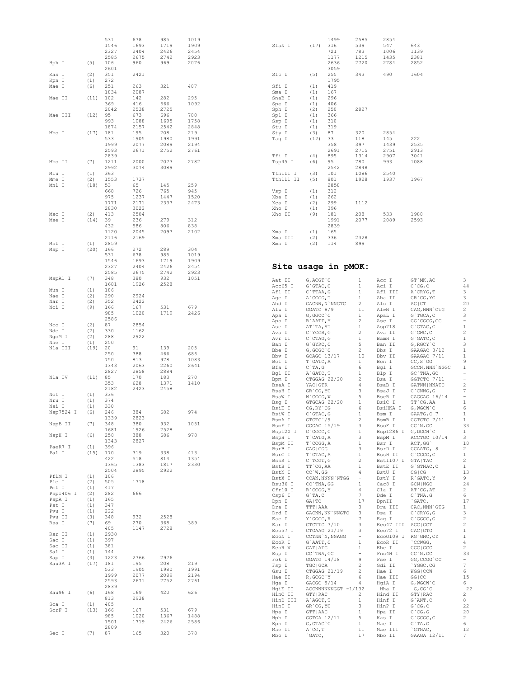|                         |                   | 531<br>1546<br>2327<br>2585 | 678<br>1693<br>2404<br>2675 | 985<br>1719<br>2426<br>2742 | 1019<br>1909<br>2454<br>2923 | SfaN I                   | (17)                                 | 1499<br>316<br>721<br>1177  | 2585<br>539<br>783<br>1215     | 2854<br>547<br>1006<br>1435   | 643<br>1139<br>2381                      |
|-------------------------|-------------------|-----------------------------|-----------------------------|-----------------------------|------------------------------|--------------------------|--------------------------------------|-----------------------------|--------------------------------|-------------------------------|------------------------------------------|
| Hph I                   | (5)               | 106<br>2601                 | 960                         | 969                         | 2076                         |                          |                                      | 2636<br>3059                | 2720                           | 2784                          | 2852                                     |
| Kas I<br>Kpn I<br>Mae I | (2)<br>(1)<br>(6) | 351<br>272<br>251           | 2421<br>263                 | 321                         | 407                          | Sfc I<br>Sfi I           | (5)<br>(1)                           | 255<br>1795<br>419          | 343                            | 490                           | 1604                                     |
| Mae II                  | (11)              | 1834<br>102<br>369          | 2087<br>142<br>416          | 282<br>666                  | 295<br>1092                  | Sma I<br>SnaB I<br>Spe I | (1)<br>(1)<br>(1)                    | 167<br>296<br>406           |                                |                               |                                          |
| Mae III                 | (12)              | 2042<br>95                  | 2538<br>673                 | 2725<br>696                 | 780                          | Sph I<br>Spl I           | (2)<br>(1)                           | 250<br>366                  | 2827                           |                               |                                          |
| Mbo I                   | (17)              | 993<br>1874<br>181          | 1088<br>2157<br>195         | 1695<br>2542<br>208         | 1758<br>2848<br>219          | Ssp I<br>Stu I<br>Sty I  | (1)<br>(1)<br>(3)                    | 310<br>319<br>87            | 320                            | 2854                          |                                          |
|                         |                   | 533<br>1999<br>2593         | 1905<br>2077<br>2671        | 1980<br>2089<br>2752        | 1991<br>2194<br>2761         | Taq I                    | (12)                                 | 33<br>358<br>2691           | 118<br>397<br>2715             | 145<br>1439<br>2751           | 222<br>2535<br>2913                      |
| Mbo II                  | (7)               | 2839<br>1211                | 2000                        | 2073                        | 2782                         | Tfi I<br>Tsp45 I         | (4)<br>(6)                           | 895<br>95                   | 1314<br>780                    | 2907<br>993                   | 3041<br>1088                             |
| Mlu I<br>Mme I          | (1)<br>(2)        | 2992<br>363<br>1553         | 3074<br>1737                | 3089                        |                              | Tth111 I<br>Tth111 II    | (3)<br>(5)                           | 2542<br>101<br>801          | 2848<br>1086<br>1928           | 2540<br>1937                  | 1967                                     |
| Mnl I                   | (18)              | 53<br>668<br>975<br>1771    | 65<br>726<br>1237<br>2171   | 145<br>765<br>1447<br>2337  | 259<br>945<br>1520<br>2473   | Vsp I<br>Xba I<br>Xca I  | (1)<br>(1)<br>(2)                    | 2858<br>312<br>262<br>299   | 1112                           |                               |                                          |
| Msc I                   | (2)               | 2830<br>413                 | 3022<br>2504                |                             |                              | Xho I<br>Xho II          | (1)<br>(9)                           | 396<br>181                  | 208                            | 533                           | 1980                                     |
| Mse I                   | (14)              | 39<br>432<br>1120           | 236<br>586<br>2045          | 279<br>806<br>2097          | 312<br>838<br>2102           | Xma I                    | (1)                                  | 1991<br>2839<br>165         | 2077                           | 2089                          | 2593                                     |
| Msl I<br>Msp I          | (1)<br>(20)       | 2116<br>2859<br>166         | 2169<br>272                 | 289                         | 304                          | Xma III<br>Xmn I         | (2)<br>(2)                           | 336<br>114                  | 2328<br>899                    |                               |                                          |
|                         |                   | 531<br>1546<br>2327         | 678<br>1693<br>2404         | 985<br>1719<br>2426         | 1019<br>1909<br>2454         | Site usage in pMOK:      |                                      |                             |                                |                               |                                          |
| MspA1 I                 | (7)               | 2585<br>348                 | 2675<br>380                 | 2742<br>932                 | 2923<br>1051                 | Aat II                   | G, ACGT `C                           |                             | 1                              | Acc I                         | GT `MK, AC                               |
| Mun I                   | (1)               | 1681<br>186                 | 1926                        | 2528                        |                              | Acc65 I<br>Afl II        | $G$ GTAC, $C$<br>$C$ `TTAA, G        |                             | $\mathbf{1}$<br>$\mathbf{1}$   | Aci I<br>Afl III              | $C$ $^{\circ}$ CG, $C$<br>A`CRYG, T      |
| Nae I<br>Nar I          | (2)<br>(2)        | 290<br>352                  | 2924<br>2422                |                             |                              | Age I<br>Ahd I           | A ccgg, T                            | GACNN, N`NNGTC              | 1<br>2                         | Aha II<br>Alu I               | GR`CG, YC<br>$AG$ $ CT$                  |
| Nci I                   | (9)               | 166<br>985                  | 167<br>1020                 | 531<br>1719                 | 679<br>2426                  | Alw I<br>Apa I           | GGATC 8/9<br>G, GGCC `C              |                             | 11<br>$\mathbf{1}$             | AlwN I<br>ApaL I              | CAG, NNN`CTG<br>$G$ `T $GCA$ , C         |
| Nco I                   | (2)               | 2586<br>87                  | 2854                        |                             |                              | Apo I<br>Ase I           | R`AATT, Y<br>AT`TA, AT               |                             | 2<br>$\mathbf{1}$              | Asc I<br>Asp718               | GG`CGCG, CC<br>$G$ GTAC, $C$             |
| Nde I<br>NgoM I         | (2)<br>(2)        | 330<br>288                  | 1162<br>2922                |                             |                              | Ava I<br>Avr II          | $C$ `YCGR, G<br>$C$ ctag, $G$        |                             | $\overline{c}$<br>$\mathbf{1}$ | Ava II<br>BamH I              | $G$ $GWC$ , $C$<br>$G$ $GATC$ , $C$      |
| Nhe I<br>Nla III        | (1)<br>(19)       | 250<br>20                   | 91                          | 139<br>466                  | 205                          | Ban I<br>Bbe I           | $G$ GYRC, $C$<br>G, GCGC `C          |                             | 5<br>2                         | Ban II<br>Bbs I               | G, RGCY `C<br>GAAGAC 8/12                |
|                         |                   | 250<br>750<br>1343          | 388<br>813<br>2063          | 978<br>2260                 | 686<br>1083<br>2641          | Bbv I<br>Bcl I           | GCAGC 13/17<br>T`GATC, A             |                             | 10<br>$\mathbf{1}$             | Bbv II<br>Bcn I               | GAAGAC 7/11<br>$CC, S$ GG                |
| Nla IV                  | (11)              | 2827                        | 2858<br>170                 | 2884<br>183                 | 270                          | Bfa I<br>Bgl II          | $C$ TA, G<br>A`GATC, T               |                             | 6<br>$\mathbf{1}$              | Bgl I<br>Blp I                | GCCN, NNN `NGGC<br>GC `TNA, GC           |
|                         |                   | 85<br>353                   | 628                         | 1371                        | 1410                         | Bpm I<br>BsaA I          | YAC   GTR                            | CTGGAG 22/20                | $\overline{c}$<br>4            | Bsa I<br>BsaB I               | GGTCTC 7/11<br>GATNN   NNATC             |
| Not I                   | (1)               | 2182<br>336                 | 2423                        | 2458                        |                              | BsaH I<br>BsaW I         | GR'CG, YC<br>W`CCGG, W               |                             | 3<br>5                         | BsaJ I<br>BseR I              | $C$ $CMNG$ , $G$<br>GAGGAG 16/14         |
| Nru I<br>Nsi I          | (1)<br>(1)        | 374<br>330                  |                             |                             |                              | Bsg I<br>BsiE I          | $CG, RY$ $CG$                        | GTGCAG 22/20                | $\mathbf{1}$<br>6              | BsiC I<br>BsiHKA I            | TT `CG, AA<br>$G$ , W $G$ CW $\degree$ C |
| Nsp7524 I               | (6)               | 246<br>1339                 | 384<br>2823                 | 682                         | 974                          | BsiW I<br>BsmA I         | $C$ GTAC, G<br>GTCTC <sup>1</sup> /9 |                             | $\mathbf{1}$<br>2              | Bsm I<br>BsmB I               | GAATG, C 7<br>CGTCTC 7/11                |
| NspB II                 | (7)               | 348<br>1681                 | 380<br>1926                 | 932<br>2528                 | 1051                         | BsmF I<br>Bsp120 I       | GGGAC 15/19<br>G`GGCC, C             |                             | 3<br>1                         | BsoF I<br>Bsp1286 I G, DGCH C | GC'N, GC                                 |
| NspH I                  | (6)               | 250<br>1343                 | 388<br>2827                 | 686                         | 978                          | BspH I<br>BspM II        | T`CATG, A<br>$T$ cccc, $A$           |                             | 3<br>$\mathbf{1}$              | BspM I<br>Bsr I               | ACCTGC 10/14<br>ACT, GG                  |
| PaeR7 I<br>Pal I        | (1)<br>(15)       | 396<br>170                  | 319                         | 338                         | 413                          | BsrB I<br>BsrG I         | GAG   CGG<br>T`GTAC, A               |                             | 3<br>$\mathbf{1}$              | BsrD I<br>BssH II             | GCAATG, 8<br>$G$ $CGCG, C$               |
|                         |                   | 422<br>1365                 | 518<br>1383                 | 814<br>1817                 | 1354<br>2330                 | BssS I<br>BstB I         | C`TCGT, G<br>TT`CG, AA               |                             | $\overline{c}$<br>$\mathbf{1}$ | Bst1107 I GTA TAC<br>BstE II  | $G$ GTNAC, $C$                           |
| PflM I                  | (1)               | 2504<br>106                 | 2895                        | 2922                        |                              | BstN I<br>BstX I         | $CC$ `W, GG                          | CCAN, NNNN `NTGG            | 4<br>$\sim$                    | BstU I<br>BstY I              | CG   CG<br>R`GATC, Y                     |
| Ple I<br>Pml I          | (2)<br>(1)        | 505<br>417                  | 1718                        |                             |                              | Bsu36 I<br>Cfr10 I       | CC `TNA, GG<br>R`CCGG, Y             |                             | $\mathbf{1}$<br>4              | Cac8 I<br>Cla I               | GCN   NGC<br>AT `CG, AT                  |
| Psp1406 I<br>PspA I     | (2)<br>(1)        | 282<br>165                  | 666                         |                             |                              | Csp6 I                   | G'TA, C                              |                             | $7\phantom{.0}$                | Dde I                         | $C$ TNA, G                               |
| Pst I<br>Pvu I          | (1)<br>(1)        | 347<br>222                  |                             |                             |                              | Dpn I<br>Dra I           | GA   TC<br>TTT   AAA                 |                             | 17<br>3                        | DpnII<br>Dra III              | `GATC,<br>CAC, NNN `GTG                  |
| Pvu II                  | (3)               | 348                         | 932                         | 2528                        |                              | Drd I<br>Eae I           | Y`GGCC, R                            | GACNN, NN `NNGTC            | 3<br>$7\phantom{.0}$           | Dsa I<br>Eag I                | $C$ $CRYG$ , $G$<br>$C$ $C$ $C$ , $C$    |
| Rsa I                   | (7)               | 69<br>405                   | 270<br>1147                 | 368<br>2728                 | 389                          | Ear I<br>Eco57 I         |                                      | CTCTTC 7/10<br>CTGAAG 21/19 | 3<br>3                         | Eco47 III AGC GCT<br>Eco72 I  | CAC   GTG                                |
| Rsr II<br>Sac I         | (1)<br>(1)        | 2938<br>397                 |                             |                             |                              | ECON I<br>ECOR I         | G`AATT, C                            | CCTNN `N, NNAGG             | $\sim$<br>$\mathbf{1}$         | ECOR II                       | Eco0109 I RG`GNC, CY<br>CCWGG,           |
| Sac II<br>Sal I         | (1)<br>(1)        | 381<br>144                  |                             |                             |                              | ECOR V<br>Esp I          | GAT   ATC<br>$GC'$ TNA, $GC$         |                             | $\mathbf{1}$<br>$\sim$         | Ehe I<br>Fnu4H I              | GGC   GCC<br>GC'N, GC                    |
| Sap I<br>Sau3A I        | (3)<br>(17)       | 1223<br>181                 | 2766<br>195                 | 2976<br>208                 | 219                          | Fok I                    | GGATG 14/18                          |                             | 9<br>$\overline{2}$            | Fse I                         | GG, CCGG `CC                             |
|                         |                   | 533<br>1999                 | 1905<br>2077                | 1980<br>2089                | 1991<br>2194                 | Fsp I<br>Gsu I           | TGC   GCA                            | CTGGAG 21/19                | $\overline{2}$                 | Gdi II<br>Hae I               | `YGGC, CG<br>WGG   CCW                   |
|                         |                   | 2593                        | 2671                        | 2752                        | 2761                         | Hae II<br>Hqa I          | R, GCGC `Y<br>GACGC 9/14             |                             | 6<br>4                         | Hae III<br>HgiA I             | GG   CC<br>G, WGCW `C                    |
| Sau96 I                 | (6)               | 2839<br>168                 | 169                         | 420                         | 626                          | HqiE II<br>HinC II       | GTY   RAC                            | ACCNNNNNNGGT -1/132         | 2                              | Hha I<br>Hind II              | G, CG, C<br>GTY   RAC                    |
| Sca I                   | (1)               | 813<br>405                  | 2938                        |                             |                              | HinD III<br>HinI I       | A`AGCT, T<br>GR'CG, YC               |                             | $\mathbf{1}$<br>3              | Hinf I<br>HinP I              | $G$ ANT, $C$<br>$G$ $CG, C$              |
| ScrF I                  | (13)              | 166<br>985                  | 167<br>1020                 | 531<br>1367                 | 679<br>1488                  | Hpa I<br>Hph I           | GTT   AAC<br>$GGTGA$ 12/11           |                             | 1<br>5                         | Hpa II<br>Kas I               | $C$ $CG, G$<br>$G$ $GCGC$ , $C$          |
|                         |                   | 1501<br>2809                | 1719                        | 2426                        | 2586                         | Kpn I                    | $G$ , $GTAC$ $C$                     |                             | $\mathbf{1}$                   | Mae I                         | $C$ TA, G                                |
| Sec I                   | (7)               | 87                          | 165                         | 320                         | 378                          | Mae II<br>Mbo I          | $A$ $CG, T$<br>`GATC,                |                             | 11<br>17                       | Mae III<br>Mbo II             | `GTNAC,<br>GAAGA 12/11                   |